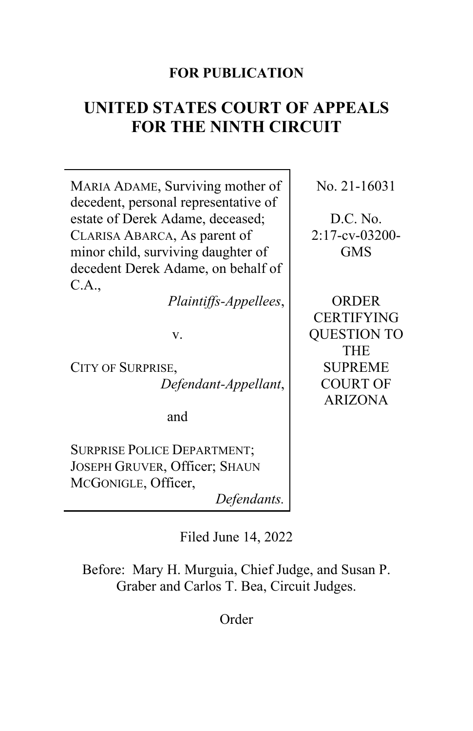# **FOR PUBLICATION**

# **UNITED STATES COURT OF APPEALS FOR THE NINTH CIRCUIT**

MARIA ADAME, Surviving mother of decedent, personal representative of estate of Derek Adame, deceased; CLARISA ABARCA, As parent of minor child, surviving daughter of decedent Derek Adame, on behalf of C.A.,

*Plaintiffs-Appellees*,

v.

CITY OF SURPRISE, *Defendant-Appellant*,

and

SURPRISE POLICE DEPARTMENT; JOSEPH GRUVER, Officer; SHAUN MCGONIGLE, Officer,

*Defendants.*

Filed June 14, 2022

Before: Mary H. Murguia, Chief Judge, and Susan P. Graber and Carlos T. Bea, Circuit Judges.

Order

No. 21-16031

D.C. No. 2:17-cv-03200- GMS

ORDER CERTIFYING QUESTION TO THE SUPREME COURT OF ARIZONA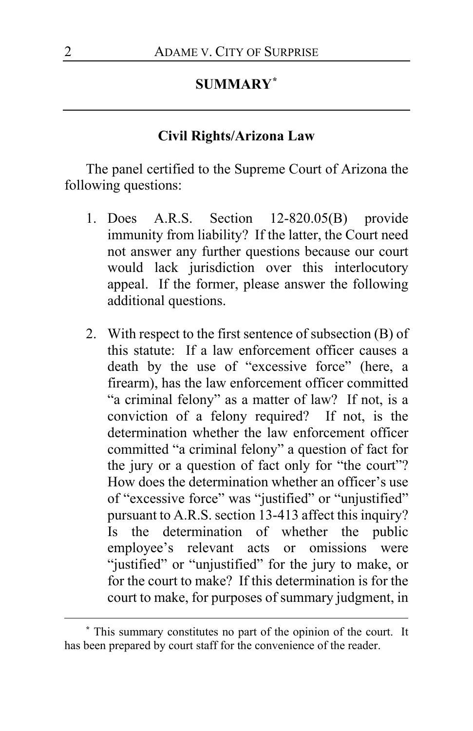#### **SUMMARY[\\*](#page-1-0)**

## **Civil Rights/Arizona Law**

The panel certified to the Supreme Court of Arizona the following questions:

- 1. Does A.R.S. Section 12-820.05(B) provide immunity from liability? If the latter, the Court need not answer any further questions because our court would lack jurisdiction over this interlocutory appeal. If the former, please answer the following additional questions.
- 2. With respect to the first sentence of subsection (B) of this statute: If a law enforcement officer causes a death by the use of "excessive force" (here, a firearm), has the law enforcement officer committed "a criminal felony" as a matter of law? If not, is a conviction of a felony required? If not, is the determination whether the law enforcement officer committed "a criminal felony" a question of fact for the jury or a question of fact only for "the court"? How does the determination whether an officer's use of "excessive force" was "justified" or "unjustified" pursuant to A.R.S. section 13-413 affect this inquiry? Is the determination of whether the public employee's relevant acts or omissions were "justified" or "unjustified" for the jury to make, or for the court to make? If this determination is for the court to make, for purposes of summary judgment, in

<span id="page-1-0"></span>**<sup>\*</sup>** This summary constitutes no part of the opinion of the court. It has been prepared by court staff for the convenience of the reader.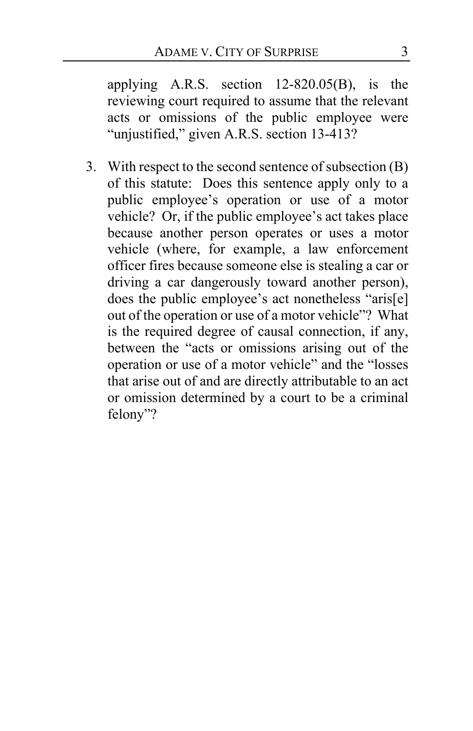applying A.R.S. section 12-820.05(B), is the reviewing court required to assume that the relevant acts or omissions of the public employee were "unjustified," given A.R.S. section 13-413?

3. With respect to the second sentence of subsection (B) of this statute: Does this sentence apply only to a public employee's operation or use of a motor vehicle? Or, if the public employee's act takes place because another person operates or uses a motor vehicle (where, for example, a law enforcement officer fires because someone else is stealing a car or driving a car dangerously toward another person), does the public employee's act nonetheless "aris[e] out of the operation or use of a motor vehicle"? What is the required degree of causal connection, if any, between the "acts or omissions arising out of the operation or use of a motor vehicle" and the "losses that arise out of and are directly attributable to an act or omission determined by a court to be a criminal felony"?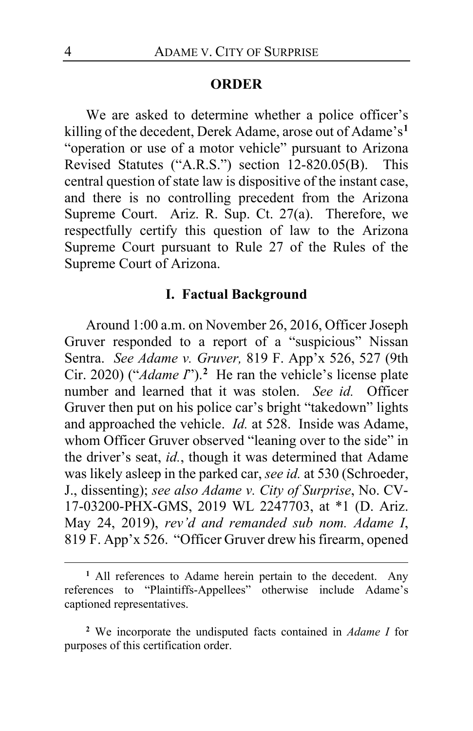#### **ORDER**

We are asked to determine whether a police officer's killing of the decedent, Derek Adame, arose out of Adame's**[1](#page-3-0)** "operation or use of a motor vehicle" pursuant to Arizona Revised Statutes ("A.R.S.") section 12-820.05(B). This central question of state law is dispositive of the instant case, and there is no controlling precedent from the Arizona Supreme Court. Ariz. R. Sup. Ct. 27(a). Therefore, we respectfully certify this question of law to the Arizona Supreme Court pursuant to Rule 27 of the Rules of the Supreme Court of Arizona.

#### **I. Factual Background**

Around 1:00 a.m. on November 26, 2016, Officer Joseph Gruver responded to a report of a "suspicious" Nissan Sentra. *See Adame v. Gruver,* 819 F. App'x 526, 527 (9th Cir. 2020) ("*Adame I*").**[2](#page-3-1)** He ran the vehicle's license plate number and learned that it was stolen. *See id.* Officer Gruver then put on his police car's bright "takedown" lights and approached the vehicle. *Id.* at 528. Inside was Adame, whom Officer Gruver observed "leaning over to the side" in the driver's seat, *id.*, though it was determined that Adame was likely asleep in the parked car, *see id.* at 530 (Schroeder, J., dissenting); *see also Adame v. City of Surprise*, No. CV-17-03200-PHX-GMS, 2019 WL 2247703, at \*1 (D. Ariz. May 24, 2019), *rev'd and remanded sub nom. Adame I*, 819 F. App'x 526. "Officer Gruver drew his firearm, opened

<span id="page-3-0"></span>**<sup>1</sup>** All references to Adame herein pertain to the decedent. Any references to "Plaintiffs-Appellees" otherwise include Adame's captioned representatives.

<span id="page-3-1"></span>**<sup>2</sup>** We incorporate the undisputed facts contained in *Adame I* for purposes of this certification order.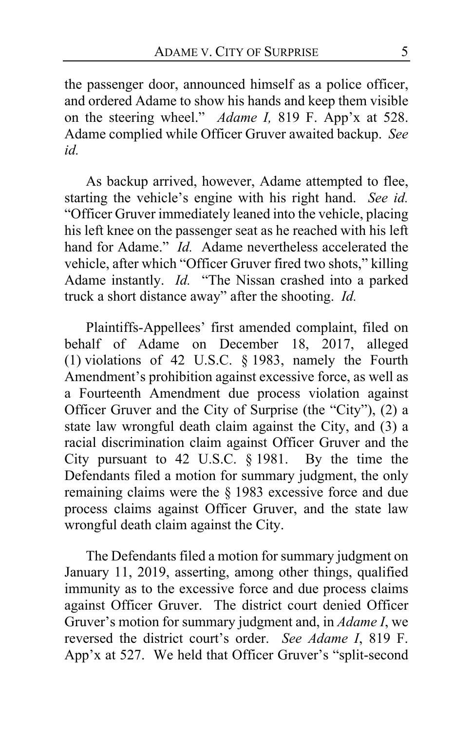the passenger door, announced himself as a police officer, and ordered Adame to show his hands and keep them visible on the steering wheel." *Adame I,* 819 F. App'x at 528. Adame complied while Officer Gruver awaited backup. *See id.*

As backup arrived, however, Adame attempted to flee, starting the vehicle's engine with his right hand. *See id.* "Officer Gruver immediately leaned into the vehicle, placing his left knee on the passenger seat as he reached with his left hand for Adame." *Id.* Adame nevertheless accelerated the vehicle, after which "Officer Gruver fired two shots," killing Adame instantly. *Id.* "The Nissan crashed into a parked truck a short distance away" after the shooting. *Id.*

Plaintiffs-Appellees' first amended complaint, filed on behalf of Adame on December 18, 2017, alleged (1) violations of 42 U.S.C. § 1983, namely the Fourth Amendment's prohibition against excessive force, as well as a Fourteenth Amendment due process violation against Officer Gruver and the City of Surprise (the "City"), (2) a state law wrongful death claim against the City, and (3) a racial discrimination claim against Officer Gruver and the City pursuant to 42 U.S.C. § 1981. By the time the Defendants filed a motion for summary judgment, the only remaining claims were the § 1983 excessive force and due process claims against Officer Gruver, and the state law wrongful death claim against the City.

The Defendants filed a motion for summary judgment on January 11, 2019, asserting, among other things, qualified immunity as to the excessive force and due process claims against Officer Gruver. The district court denied Officer Gruver's motion for summary judgment and, in *Adame I*, we reversed the district court's order. *See Adame I*, 819 F. App'x at 527. We held that Officer Gruver's "split-second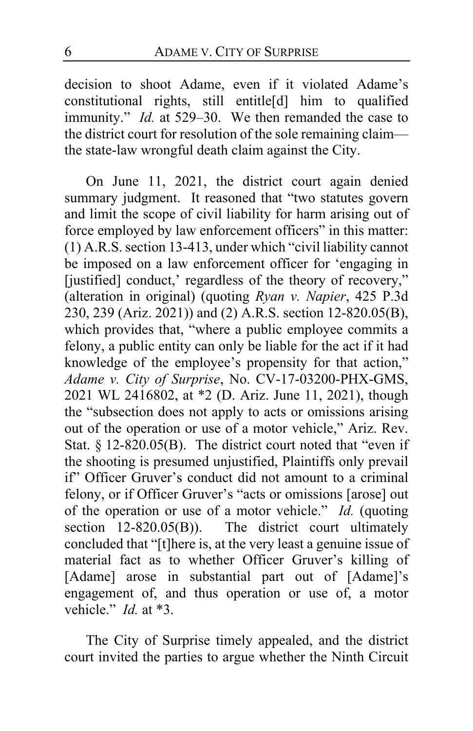decision to shoot Adame, even if it violated Adame's constitutional rights, still entitle[d] him to qualified immunity." *Id.* at 529–30. We then remanded the case to the district court for resolution of the sole remaining claim the state-law wrongful death claim against the City.

On June 11, 2021, the district court again denied summary judgment. It reasoned that "two statutes govern and limit the scope of civil liability for harm arising out of force employed by law enforcement officers" in this matter: (1) A.R.S. section 13-413, under which "civil liability cannot be imposed on a law enforcement officer for 'engaging in [justified] conduct,' regardless of the theory of recovery," (alteration in original) (quoting *Ryan v. Napier*, 425 P.3d 230, 239 (Ariz. 2021)) and (2) A.R.S. section 12-820.05(B), which provides that, "where a public employee commits a felony, a public entity can only be liable for the act if it had knowledge of the employee's propensity for that action," *Adame v. City of Surprise*, No. CV-17-03200-PHX-GMS, 2021 WL 2416802, at \*2 (D. Ariz. June 11, 2021), though the "subsection does not apply to acts or omissions arising out of the operation or use of a motor vehicle," Ariz. Rev. Stat. § 12-820.05(B). The district court noted that "even if the shooting is presumed unjustified, Plaintiffs only prevail if" Officer Gruver's conduct did not amount to a criminal felony, or if Officer Gruver's "acts or omissions [arose] out of the operation or use of a motor vehicle." *Id.* (quoting section 12-820.05(B)). The district court ultimately concluded that "[t]here is, at the very least a genuine issue of material fact as to whether Officer Gruver's killing of [Adame] arose in substantial part out of [Adame]'s engagement of, and thus operation or use of, a motor vehicle." *Id.* at \*3.

The City of Surprise timely appealed, and the district court invited the parties to argue whether the Ninth Circuit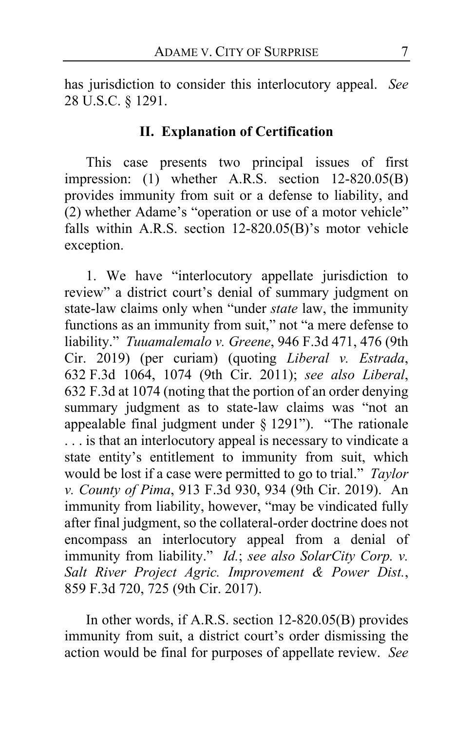has jurisdiction to consider this interlocutory appeal. *See*  28 U.S.C. § 1291.

#### **II. Explanation of Certification**

This case presents two principal issues of first impression: (1) whether A.R.S. section 12-820.05(B) provides immunity from suit or a defense to liability, and (2) whether Adame's "operation or use of a motor vehicle" falls within A.R.S. section 12-820.05(B)'s motor vehicle exception.

1. We have "interlocutory appellate jurisdiction to review" a district court's denial of summary judgment on state-law claims only when "under *state* law, the immunity functions as an immunity from suit," not "a mere defense to liability." *Tuuamalemalo v. Greene*, 946 F.3d 471, 476 (9th Cir. 2019) (per curiam) (quoting *Liberal v. Estrada*, 632 F.3d 1064, 1074 (9th Cir. 2011); *see also Liberal*, 632 F.3d at 1074 (noting that the portion of an order denying summary judgment as to state-law claims was "not an appealable final judgment under § 1291"). "The rationale . . . is that an interlocutory appeal is necessary to vindicate a state entity's entitlement to immunity from suit, which would be lost if a case were permitted to go to trial." *Taylor v. County of Pima*, 913 F.3d 930, 934 (9th Cir. 2019). An immunity from liability, however, "may be vindicated fully after final judgment, so the collateral-order doctrine does not encompass an interlocutory appeal from a denial of immunity from liability." *Id.*; *see also SolarCity Corp. v. Salt River Project Agric. Improvement & Power Dist.*, 859 F.3d 720, 725 (9th Cir. 2017).

In other words, if A.R.S. section 12-820.05(B) provides immunity from suit, a district court's order dismissing the action would be final for purposes of appellate review. *See*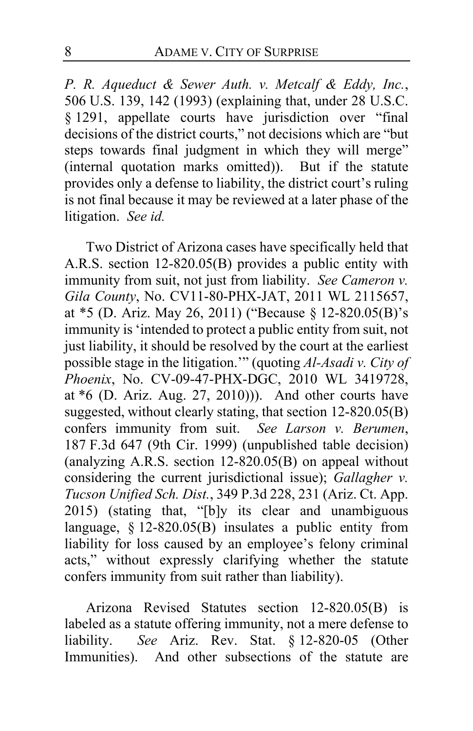*P. R. Aqueduct & Sewer Auth. v. Metcalf & Eddy, Inc.*, 506 U.S. 139, 142 (1993) (explaining that, under 28 U.S.C. § 1291, appellate courts have jurisdiction over "final decisions of the district courts," not decisions which are "but steps towards final judgment in which they will merge" (internal quotation marks omitted)). But if the statute provides only a defense to liability, the district court's ruling is not final because it may be reviewed at a later phase of the litigation. *See id.*

Two District of Arizona cases have specifically held that A.R.S. section 12-820.05(B) provides a public entity with immunity from suit, not just from liability. *See Cameron v. Gila County*, No. CV11-80-PHX-JAT, 2011 WL 2115657, at \*5 (D. Ariz. May 26, 2011) ("Because § 12-820.05(B)'s immunity is 'intended to protect a public entity from suit, not just liability, it should be resolved by the court at the earliest possible stage in the litigation.'" (quoting *Al-Asadi v. City of Phoenix*, No. CV-09-47-PHX-DGC, 2010 WL 3419728, at \*6 (D. Ariz. Aug. 27, 2010))). And other courts have suggested, without clearly stating, that section 12-820.05(B) confers immunity from suit. *See Larson v. Berumen*, 187 F.3d 647 (9th Cir. 1999) (unpublished table decision) (analyzing A.R.S. section  $12-820.05(B)$  on appeal without considering the current jurisdictional issue); *Gallagher v. Tucson Unified Sch. Dist.*, 349 P.3d 228, 231 (Ariz. Ct. App. 2015) (stating that, "[b]y its clear and unambiguous language,  $\S$  12-820.05(B) insulates a public entity from liability for loss caused by an employee's felony criminal acts," without expressly clarifying whether the statute confers immunity from suit rather than liability).

Arizona Revised Statutes section 12-820.05(B) is labeled as a statute offering immunity, not a mere defense to liability. *See* Ariz. Rev. Stat. § 12-820-05 (Other Immunities). And other subsections of the statute are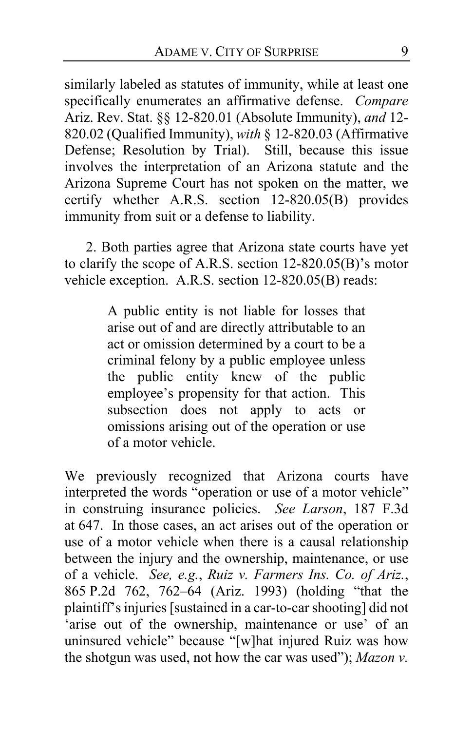similarly labeled as statutes of immunity, while at least one specifically enumerates an affirmative defense. *Compare* Ariz. Rev. Stat. §§ 12-820.01 (Absolute Immunity), *and* 12- 820.02 (Qualified Immunity), *with* § 12-820.03 (Affirmative Defense; Resolution by Trial). Still, because this issue involves the interpretation of an Arizona statute and the Arizona Supreme Court has not spoken on the matter, we certify whether A.R.S. section 12-820.05(B) provides immunity from suit or a defense to liability.

2. Both parties agree that Arizona state courts have yet to clarify the scope of A.R.S. section 12-820.05(B)'s motor vehicle exception. A.R.S. section 12-820.05(B) reads:

> A public entity is not liable for losses that arise out of and are directly attributable to an act or omission determined by a court to be a criminal felony by a public employee unless the public entity knew of the public employee's propensity for that action. This subsection does not apply to acts or omissions arising out of the operation or use of a motor vehicle.

We previously recognized that Arizona courts have interpreted the words "operation or use of a motor vehicle" in construing insurance policies. *See Larson*, 187 F.3d at 647. In those cases, an act arises out of the operation or use of a motor vehicle when there is a causal relationship between the injury and the ownership, maintenance, or use of a vehicle. *See, e.g.*, *Ruiz v. Farmers Ins. Co. of Ariz.*, 865 P.2d 762, 762–64 (Ariz. 1993) (holding "that the plaintiff's injuries [sustained in a car-to-car shooting] did not 'arise out of the ownership, maintenance or use' of an uninsured vehicle" because "[w]hat injured Ruiz was how the shotgun was used, not how the car was used"); *Mazon v.*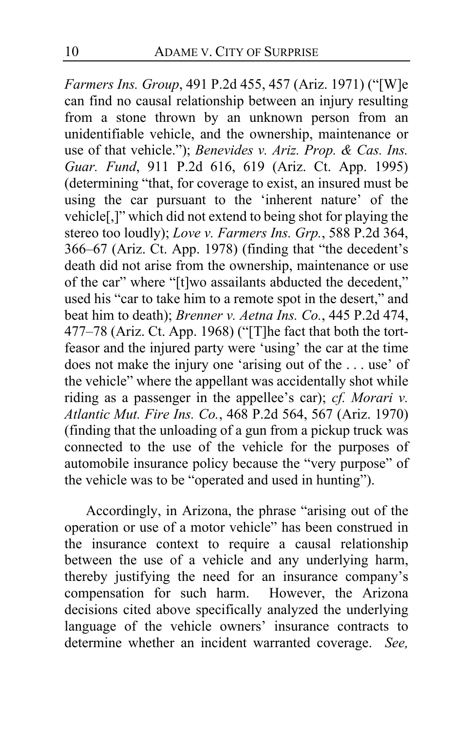*Farmers Ins. Group*, 491 P.2d 455, 457 (Ariz. 1971) ("[W]e can find no causal relationship between an injury resulting from a stone thrown by an unknown person from an unidentifiable vehicle, and the ownership, maintenance or use of that vehicle."); *Benevides v. Ariz. Prop. & Cas. Ins. Guar. Fund*, 911 P.2d 616, 619 (Ariz. Ct. App. 1995) (determining "that, for coverage to exist, an insured must be using the car pursuant to the 'inherent nature' of the vehicle[,]" which did not extend to being shot for playing the stereo too loudly); *Love v. Farmers Ins. Grp.*, 588 P.2d 364, 366–67 (Ariz. Ct. App. 1978) (finding that "the decedent's death did not arise from the ownership, maintenance or use of the car" where "[t]wo assailants abducted the decedent," used his "car to take him to a remote spot in the desert," and beat him to death); *Brenner v. Aetna Ins. Co.*, 445 P.2d 474, 477–78 (Ariz. Ct. App. 1968) ("[T]he fact that both the tortfeasor and the injured party were 'using' the car at the time does not make the injury one 'arising out of the . . . use' of the vehicle" where the appellant was accidentally shot while riding as a passenger in the appellee's car); *cf. Morari v. Atlantic Mut. Fire Ins. Co.*, 468 P.2d 564, 567 (Ariz. 1970) (finding that the unloading of a gun from a pickup truck was connected to the use of the vehicle for the purposes of automobile insurance policy because the "very purpose" of the vehicle was to be "operated and used in hunting").

Accordingly, in Arizona, the phrase "arising out of the operation or use of a motor vehicle" has been construed in the insurance context to require a causal relationship between the use of a vehicle and any underlying harm, thereby justifying the need for an insurance company's compensation for such harm. However, the Arizona decisions cited above specifically analyzed the underlying language of the vehicle owners' insurance contracts to determine whether an incident warranted coverage. *See,*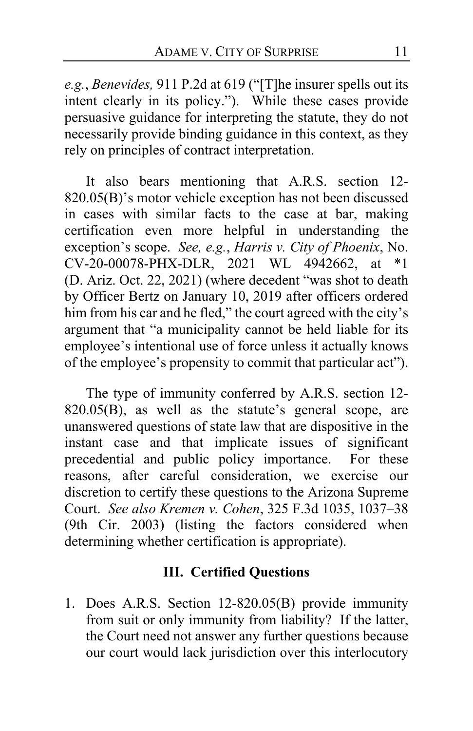*e.g.*, *Benevides,* 911 P.2d at 619 ("[T]he insurer spells out its intent clearly in its policy."). While these cases provide persuasive guidance for interpreting the statute, they do not necessarily provide binding guidance in this context, as they rely on principles of contract interpretation.

It also bears mentioning that A.R.S. section 12- 820.05(B)'s motor vehicle exception has not been discussed in cases with similar facts to the case at bar, making certification even more helpful in understanding the exception's scope. *See, e.g.*, *Harris v. City of Phoenix*, No. CV-20-00078-PHX-DLR, 2021 WL 4942662, at \*1 (D. Ariz. Oct. 22, 2021) (where decedent "was shot to death by Officer Bertz on January 10, 2019 after officers ordered him from his car and he fled," the court agreed with the city's argument that "a municipality cannot be held liable for its employee's intentional use of force unless it actually knows of the employee's propensity to commit that particular act").

The type of immunity conferred by A.R.S. section 12- 820.05(B), as well as the statute's general scope, are unanswered questions of state law that are dispositive in the instant case and that implicate issues of significant precedential and public policy importance. For these reasons, after careful consideration, we exercise our discretion to certify these questions to the Arizona Supreme Court. *See also Kremen v. Cohen*, 325 F.3d 1035, 1037–38 (9th Cir. 2003) (listing the factors considered when determining whether certification is appropriate).

# **III. Certified Questions**

1. Does A.R.S. Section 12-820.05(B) provide immunity from suit or only immunity from liability? If the latter, the Court need not answer any further questions because our court would lack jurisdiction over this interlocutory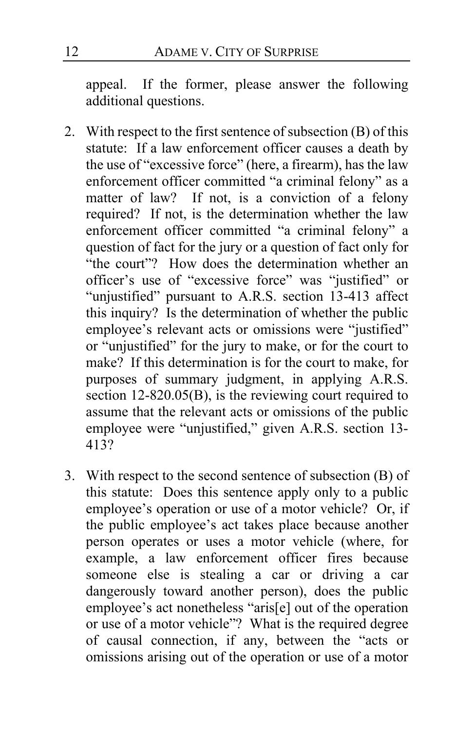appeal. If the former, please answer the following additional questions.

- 2. With respect to the first sentence of subsection (B) of this statute: If a law enforcement officer causes a death by the use of "excessive force" (here, a firearm), has the law enforcement officer committed "a criminal felony" as a matter of law? If not, is a conviction of a felony required? If not, is the determination whether the law enforcement officer committed "a criminal felony" a question of fact for the jury or a question of fact only for "the court"? How does the determination whether an officer's use of "excessive force" was "justified" or "unjustified" pursuant to A.R.S. section 13-413 affect this inquiry? Is the determination of whether the public employee's relevant acts or omissions were "justified" or "unjustified" for the jury to make, or for the court to make? If this determination is for the court to make, for purposes of summary judgment, in applying A.R.S. section 12-820.05(B), is the reviewing court required to assume that the relevant acts or omissions of the public employee were "unjustified," given A.R.S. section 13- 413?
- 3. With respect to the second sentence of subsection (B) of this statute: Does this sentence apply only to a public employee's operation or use of a motor vehicle? Or, if the public employee's act takes place because another person operates or uses a motor vehicle (where, for example, a law enforcement officer fires because someone else is stealing a car or driving a car dangerously toward another person), does the public employee's act nonetheless "aris[e] out of the operation or use of a motor vehicle"? What is the required degree of causal connection, if any, between the "acts or omissions arising out of the operation or use of a motor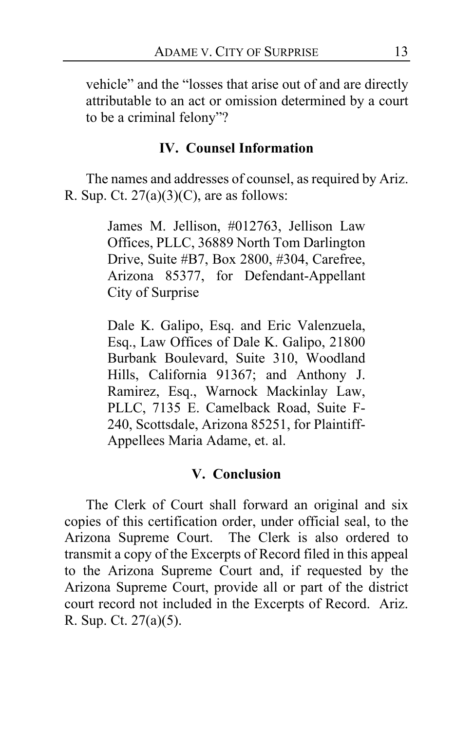vehicle" and the "losses that arise out of and are directly attributable to an act or omission determined by a court to be a criminal felony"?

## **IV. Counsel Information**

The names and addresses of counsel, as required by Ariz. R. Sup. Ct.  $27(a)(3)(C)$ , are as follows:

> James M. Jellison, #012763, Jellison Law Offices, PLLC, 36889 North Tom Darlington Drive, Suite #B7, Box 2800, #304, Carefree, Arizona 85377, for Defendant-Appellant City of Surprise

> Dale K. Galipo, Esq. and Eric Valenzuela, Esq., Law Offices of Dale K. Galipo, 21800 Burbank Boulevard, Suite 310, Woodland Hills, California 91367; and Anthony J. Ramirez, Esq., Warnock Mackinlay Law, PLLC, 7135 E. Camelback Road, Suite F-240, Scottsdale, Arizona 85251, for Plaintiff-Appellees Maria Adame, et. al.

## **V. Conclusion**

The Clerk of Court shall forward an original and six copies of this certification order, under official seal, to the Arizona Supreme Court. The Clerk is also ordered to transmit a copy of the Excerpts of Record filed in this appeal to the Arizona Supreme Court and, if requested by the Arizona Supreme Court, provide all or part of the district court record not included in the Excerpts of Record. Ariz. R. Sup. Ct. 27(a)(5).